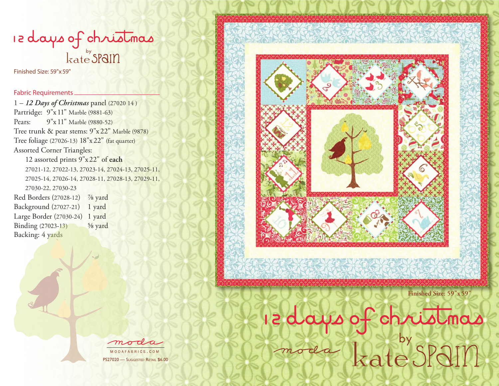# re days of christmas

Finished Size: 59"x59"

#### Fabric Requirements

1 – *12 Days of Christmas* panel (27020 14 ) Partridge: 9"x 11" Marble (9881-63) Pears: 9"x 11" Marble (9880-52) Tree trunk & pear stems: 9"x 22" Marble (9878) Tree foliage (27026-13) 18"x22" (fat quarter) Assorted Corner Triangles: 12 assorted prints 9"x 22" of **each** 27021-12, 27022-13, 27023-14, 27024-13, 27025-11, 27025-14, 27026-14, 27028-11, 27028-13, 27029-11, 27030-22, 27030-23 Red Borders (27028-12) 7/8 yard Background (27027-21) 1 yard Large Border (27030-24) 1 yard Binding (27023-13) ⅝ yard Backing: 4 yards



**Finished Size: 59"x59"**

radays of christmas



PS27020 - Suggested Retail \$6.00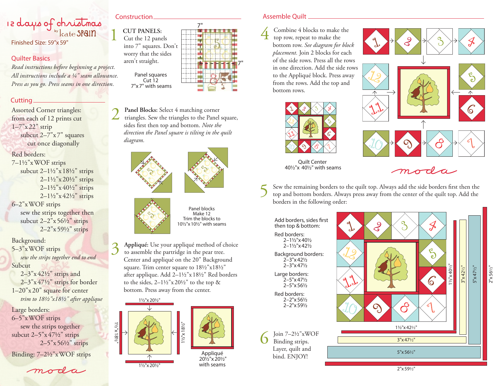## Re days of christmas Finished Size: 59"x59"

#### Quilter Basics

*Read instructions before beginning a project. All instructions include a ¼" seam allowance. Press as you go. Press seams in one direction.*

#### Cutting

Assorted Corner triangles: from each of 12 prints cut 1–7"x 22" strip subcut 2–7"x 7" squares cut once diagonally

#### Red borders:

7–1½"xWOF strips subcut 2–1½"x 18½" strips  $2 - 1\frac{1}{2}$ " x  $20\frac{1}{2}$ " strips  $2-1\frac{1}{2}x$  40<sup>1</sup>/<sub>2</sub>" strips  $2 - 1\frac{1}{2}$ " x 42 $\frac{1}{2}$ " strips 6–2"xWOF strips sew the strips together then

subcut  $2-2''x\,56\frac{1}{2}''$  strips 2–2"x59½" strips

Background: 5–3"xWOF strips *sew the strips together end to end*

Subcut

2–3"x 42½" strips and 2–3"x 47½" strips for border 1–20"x 20" square for center *trim to 18½"x18½" after applique*

Large borders: 6–5"xWOF strips sew the strips together subcut 2–5"x 47½" strips 2–5"x56½" strips

Binding: 7–2½"xWOF strips

### moda

7" **1 CUT PANELS:**<br>
Cut the 12 panels into 7" squares. Don't worry that the sides aren't straight. Panel squares Cut 12 7"x7" with seams

2 **Panel Blocks:** Select 4 matching corner triangles. Sew the triangles to the Panel square, sides first then top and bottom. *Note the direction the Panel square is tilting in the quilt diagram.*





Panel blocks Make 12 Trim the blocks to 10½"x10½" with seams

3 **Appliqué:** Use your appliqué method of choice to assemble the partridge in the pear tree. to assemble the partridge in the pear tree. Center and appliqué on the 20" Background square. Trim center square to  $18\frac{1}{2}$ "x $18\frac{1}{2}$ " after applique. Add 2–1½"x 18½" Red borders to the sides,  $2-1\frac{1}{2}x 20\frac{1}{2}$  to the top & bottom. Press away from the center.



#### Construction Assemble Quilt

7"

4 Combine 4 blocks to make the top row, repeat to make the bottom row. *See diagram for block placement.* Join 2 blocks for each of the side rows. Press all the rows in one direction. Add the side rows to the Appliqué block. Press away from the rows. Add the top and bottom rows.



Quilt Center 40½"x 40½" with seams



moda

5 Sew the remaining borders to the quilt top. Always add the side borders first then the top and bottom borders. Always press away from the center of the quilt top. Add the borders in the following order:

Add borders, sides first then top & bottom: Red borders: 2–1½"x40½ 2–1½"x42½ Background borders: 2–3"x42½ 2–3"x47½ Large borders:  $2 - 5" \times 47$ <sup>1</sup>/<sub>2</sub> 2–5"x56½

Red borders: 2–2"x56½ 2–2"x59½

Join  $7-2\frac{1}{2}$ "xWOF Binding strips. Layer, quilt and bind. ENJOY!



2"x56 ½"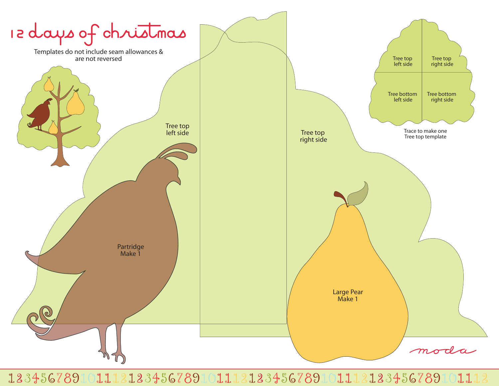

 $2234567891011123133456789101112313345678910111$ 1234567891011